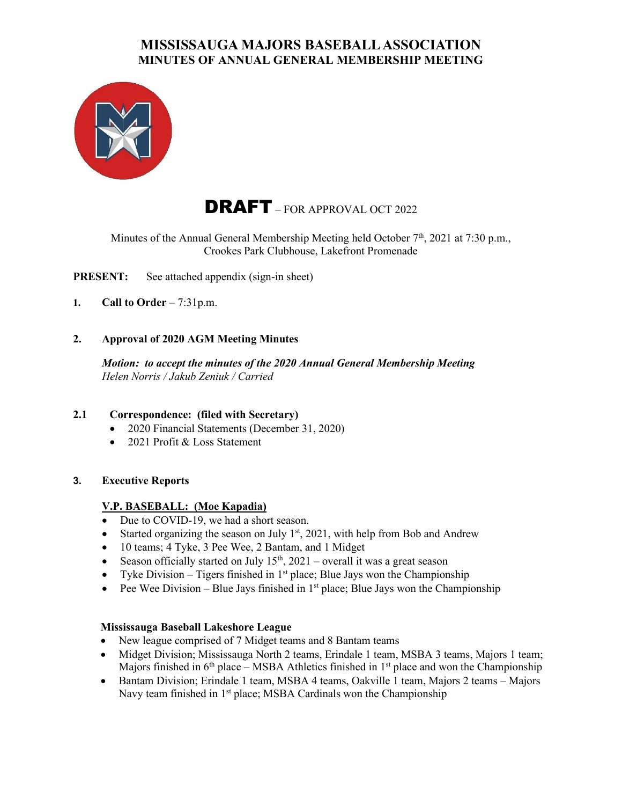

# DRAFT – FOR APPROVAL OCT 2022

Minutes of the Annual General Membership Meeting held October 7<sup>th</sup>, 2021 at 7:30 p.m., Crookes Park Clubhouse, Lakefront Promenade

**PRESENT:** See attached appendix (sign-in sheet)

- **1. Call to Order** 7:31p.m.
- **2. Approval of 2020 AGM Meeting Minutes**

*Motion: to accept the minutes of the 2020 Annual General Membership Meeting Helen Norris / Jakub Zeniuk / Carried*

#### **2.1 Correspondence: (filed with Secretary)**

- 2020 Financial Statements (December 31, 2020)
- 2021 Profit & Loss Statement
- **3. Executive Reports**

#### **V.P. BASEBALL: (Moe Kapadia)**

- Due to COVID-19, we had a short season.
- Started organizing the season on July  $1<sup>st</sup>$ , 2021, with help from Bob and Andrew
- 10 teams; 4 Tyke, 3 Pee Wee, 2 Bantam, and 1 Midget
- Season officially started on July  $15<sup>th</sup>$ , 2021 overall it was a great season
- Tyke Division Tigers finished in  $1<sup>st</sup>$  place; Blue Jays won the Championship
- Pee Wee Division Blue Jays finished in  $1<sup>st</sup>$  place; Blue Jays won the Championship

#### **Mississauga Baseball Lakeshore League**

- New league comprised of 7 Midget teams and 8 Bantam teams
- Midget Division; Mississauga North 2 teams, Erindale 1 team, MSBA 3 teams, Majors 1 team; Majors finished in  $6<sup>th</sup>$  place – MSBA Athletics finished in 1<sup>st</sup> place and won the Championship
- Bantam Division; Erindale 1 team, MSBA 4 teams, Oakville 1 team, Majors 2 teams Majors Navy team finished in 1<sup>st</sup> place; MSBA Cardinals won the Championship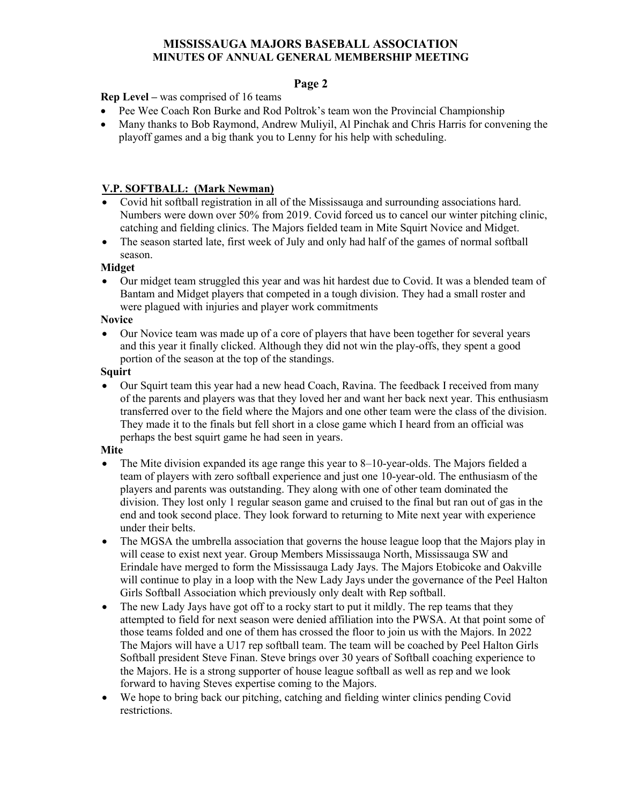## **Page 2**

**Rep Level –** was comprised of 16 teams

- Pee Wee Coach Ron Burke and Rod Poltrok's team won the Provincial Championship
- Many thanks to Bob Raymond, Andrew Muliyil, Al Pinchak and Chris Harris for convening the playoff games and a big thank you to Lenny for his help with scheduling.

#### **V.P. SOFTBALL: (Mark Newman)**

- Covid hit softball registration in all of the Mississauga and surrounding associations hard. Numbers were down over 50% from 2019. Covid forced us to cancel our winter pitching clinic, catching and fielding clinics. The Majors fielded team in Mite Squirt Novice and Midget.
- The season started late, first week of July and only had half of the games of normal softball season.

#### **Midget**

• Our midget team struggled this year and was hit hardest due to Covid. It was a blended team of Bantam and Midget players that competed in a tough division. They had a small roster and were plagued with injuries and player work commitments

**Novice**

• Our Novice team was made up of a core of players that have been together for several years and this year it finally clicked. Although they did not win the play-offs, they spent a good portion of the season at the top of the standings.

#### **Squirt**

• Our Squirt team this year had a new head Coach, Ravina. The feedback I received from many of the parents and players was that they loved her and want her back next year. This enthusiasm transferred over to the field where the Majors and one other team were the class of the division. They made it to the finals but fell short in a close game which I heard from an official was perhaps the best squirt game he had seen in years.

#### **Mite**

- The Mite division expanded its age range this year to 8–10-year-olds. The Majors fielded a team of players with zero softball experience and just one 10-year-old. The enthusiasm of the players and parents was outstanding. They along with one of other team dominated the division. They lost only 1 regular season game and cruised to the final but ran out of gas in the end and took second place. They look forward to returning to Mite next year with experience under their belts.
- The MGSA the umbrella association that governs the house league loop that the Majors play in will cease to exist next year. Group Members Mississauga North, Mississauga SW and Erindale have merged to form the Mississauga Lady Jays. The Majors Etobicoke and Oakville will continue to play in a loop with the New Lady Jays under the governance of the Peel Halton Girls Softball Association which previously only dealt with Rep softball.
- The new Lady Jays have got off to a rocky start to put it mildly. The rep teams that they attempted to field for next season were denied affiliation into the PWSA. At that point some of those teams folded and one of them has crossed the floor to join us with the Majors. In 2022 The Majors will have a U17 rep softball team. The team will be coached by Peel Halton Girls Softball president Steve Finan. Steve brings over 30 years of Softball coaching experience to the Majors. He is a strong supporter of house league softball as well as rep and we look forward to having Steves expertise coming to the Majors.
- We hope to bring back our pitching, catching and fielding winter clinics pending Covid restrictions.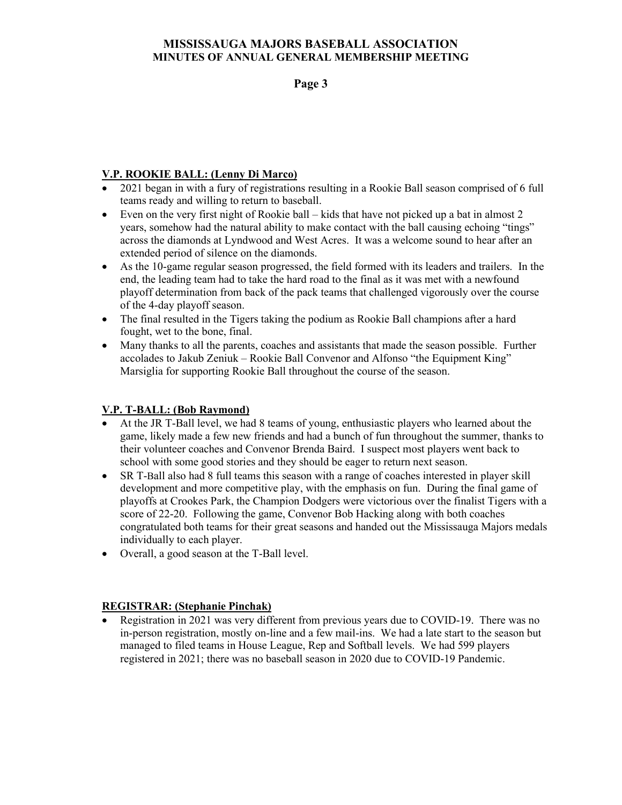**Page 3**

## **V.P. ROOKIE BALL: (Lenny Di Marco)**

- 2021 began in with a fury of registrations resulting in a Rookie Ball season comprised of 6 full teams ready and willing to return to baseball.
- Even on the very first night of Rookie ball kids that have not picked up a bat in almost 2 years, somehow had the natural ability to make contact with the ball causing echoing "tings" across the diamonds at Lyndwood and West Acres. It was a welcome sound to hear after an extended period of silence on the diamonds.
- As the 10-game regular season progressed, the field formed with its leaders and trailers. In the end, the leading team had to take the hard road to the final as it was met with a newfound playoff determination from back of the pack teams that challenged vigorously over the course of the 4-day playoff season.
- The final resulted in the Tigers taking the podium as Rookie Ball champions after a hard fought, wet to the bone, final.
- Many thanks to all the parents, coaches and assistants that made the season possible. Further accolades to Jakub Zeniuk – Rookie Ball Convenor and Alfonso "the Equipment King" Marsiglia for supporting Rookie Ball throughout the course of the season.

#### **V.P. T-BALL: (Bob Raymond)**

- At the JR T-Ball level, we had 8 teams of young, enthusiastic players who learned about the game, likely made a few new friends and had a bunch of fun throughout the summer, thanks to their volunteer coaches and Convenor Brenda Baird. I suspect most players went back to school with some good stories and they should be eager to return next season.
- SR T-Ball also had 8 full teams this season with a range of coaches interested in player skill development and more competitive play, with the emphasis on fun. During the final game of playoffs at Crookes Park, the Champion Dodgers were victorious over the finalist Tigers with a score of 22-20. Following the game, Convenor Bob Hacking along with both coaches congratulated both teams for their great seasons and handed out the Mississauga Majors medals individually to each player.
- Overall, a good season at the T-Ball level.

## **REGISTRAR: (Stephanie Pinchak)**

• Registration in 2021 was very different from previous years due to COVID-19. There was no in-person registration, mostly on-line and a few mail-ins. We had a late start to the season but managed to filed teams in House League, Rep and Softball levels. We had 599 players registered in 2021; there was no baseball season in 2020 due to COVID-19 Pandemic.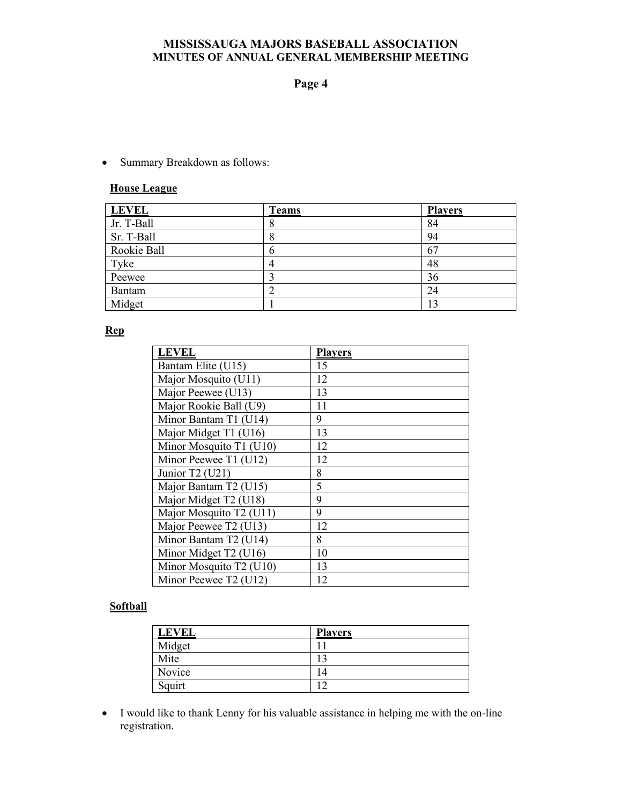#### **Page 4**

• Summary Breakdown as follows:

#### **House League**

| <b>LEVEL</b> | <b>Teams</b> | <b>Players</b> |
|--------------|--------------|----------------|
| Jr. T-Ball   | Ω            | 84             |
| Sr. T-Ball   |              | 94             |
| Rookie Ball  | ι)           | 67             |
| Tyke         |              | 48             |
| Peewee       |              | 36             |
| Bantam       |              | 24             |
| Midget       |              |                |

#### **Rep**

| <b>LEVEL</b>            | <b>Players</b> |
|-------------------------|----------------|
| Bantam Elite (U15)      | 15             |
| Major Mosquito (U11)    | 12             |
| Major Peewee (U13)      | 13             |
| Major Rookie Ball (U9)  | 11             |
| Minor Bantam T1 (U14)   | 9              |
| Major Midget T1 (U16)   | 13             |
| Minor Mosquito T1 (U10) | 12             |
| Minor Peewee T1 (U12)   | 12             |
| Junior T2 (U21)         | 8              |
| Major Bantam T2 (U15)   | 5              |
| Major Midget T2 (U18)   | 9              |
| Major Mosquito T2 (U11) | 9              |
| Major Peewee T2 (U13)   | 12             |
| Minor Bantam T2 (U14)   | 8              |
| Minor Midget T2 (U16)   | 10             |
| Minor Mosquito T2 (U10) | 13             |
| Minor Peewee T2 (U12)   | 12             |

# **Softball**

| <b>LEVEL</b> | <b>Players</b> |
|--------------|----------------|
| Midget       |                |
| Mite         | ◠              |
| Novice       | $\frac{4}{4}$  |
| Squirt       |                |

• I would like to thank Lenny for his valuable assistance in helping me with the on-line registration.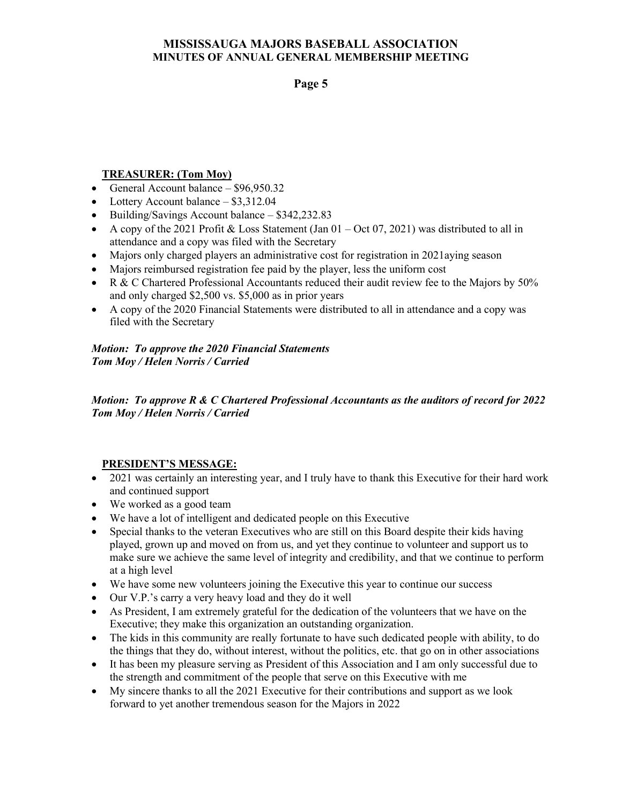### **Page 5**

#### **TREASURER: (Tom Moy)**

- General Account balance \$96,950.32
- Lottery Account balance \$3,312.04
- Building/Savings Account balance \$342,232.83
- A copy of the 2021 Profit & Loss Statement (Jan  $01 Oct 07, 2021$ ) was distributed to all in attendance and a copy was filed with the Secretary
- Majors only charged players an administrative cost for registration in 2021aying season
- Majors reimbursed registration fee paid by the player, less the uniform cost
- R & C Chartered Professional Accountants reduced their audit review fee to the Majors by 50% and only charged \$2,500 vs. \$5,000 as in prior years
- A copy of the 2020 Financial Statements were distributed to all in attendance and a copy was filed with the Secretary

*Motion: To approve the 2020 Financial Statements Tom Moy / Helen Norris / Carried*

*Motion: To approve R & C Chartered Professional Accountants as the auditors of record for 2022 Tom Moy / Helen Norris / Carried*

#### **PRESIDENT'S MESSAGE:**

- 2021 was certainly an interesting year, and I truly have to thank this Executive for their hard work and continued support
- We worked as a good team
- We have a lot of intelligent and dedicated people on this Executive
- Special thanks to the veteran Executives who are still on this Board despite their kids having played, grown up and moved on from us, and yet they continue to volunteer and support us to make sure we achieve the same level of integrity and credibility, and that we continue to perform at a high level
- We have some new volunteers joining the Executive this year to continue our success
- Our V.P.'s carry a very heavy load and they do it well
- As President, I am extremely grateful for the dedication of the volunteers that we have on the Executive; they make this organization an outstanding organization.
- The kids in this community are really fortunate to have such dedicated people with ability, to do the things that they do, without interest, without the politics, etc. that go on in other associations
- It has been my pleasure serving as President of this Association and I am only successful due to the strength and commitment of the people that serve on this Executive with me
- My sincere thanks to all the 2021 Executive for their contributions and support as we look forward to yet another tremendous season for the Majors in 2022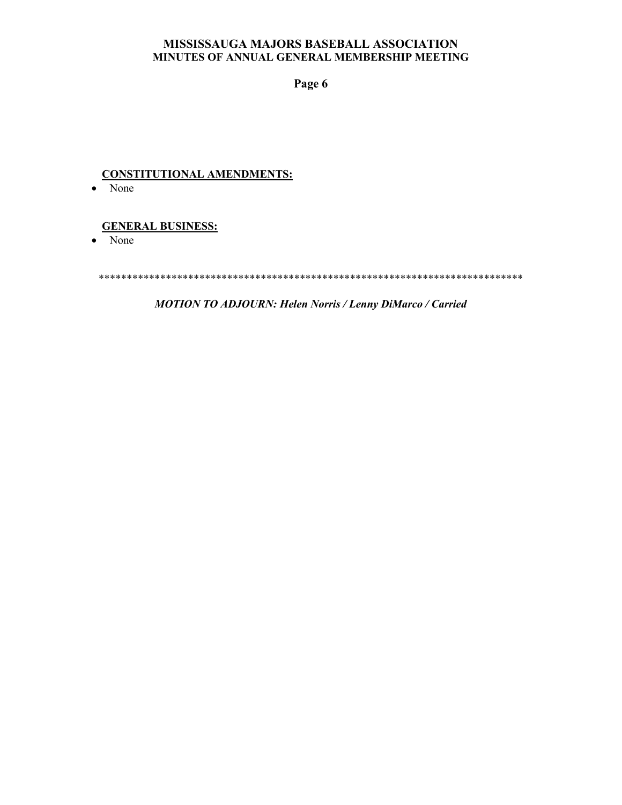**Page 6**

# **CONSTITUTIONAL AMENDMENTS:**

• None

#### **GENERAL BUSINESS:**

• None

\*\*\*\*\*\*\*\*\*\*\*\*\*\*\*\*\*\*\*\*\*\*\*\*\*\*\*\*\*\*\*\*\*\*\*\*\*\*\*\*\*\*\*\*\*\*\*\*\*\*\*\*\*\*\*\*\*\*\*\*\*\*\*\*\*\*\*\*\*\*\*\*\*\*\*\*

*MOTION TO ADJOURN: Helen Norris / Lenny DiMarco / Carried*